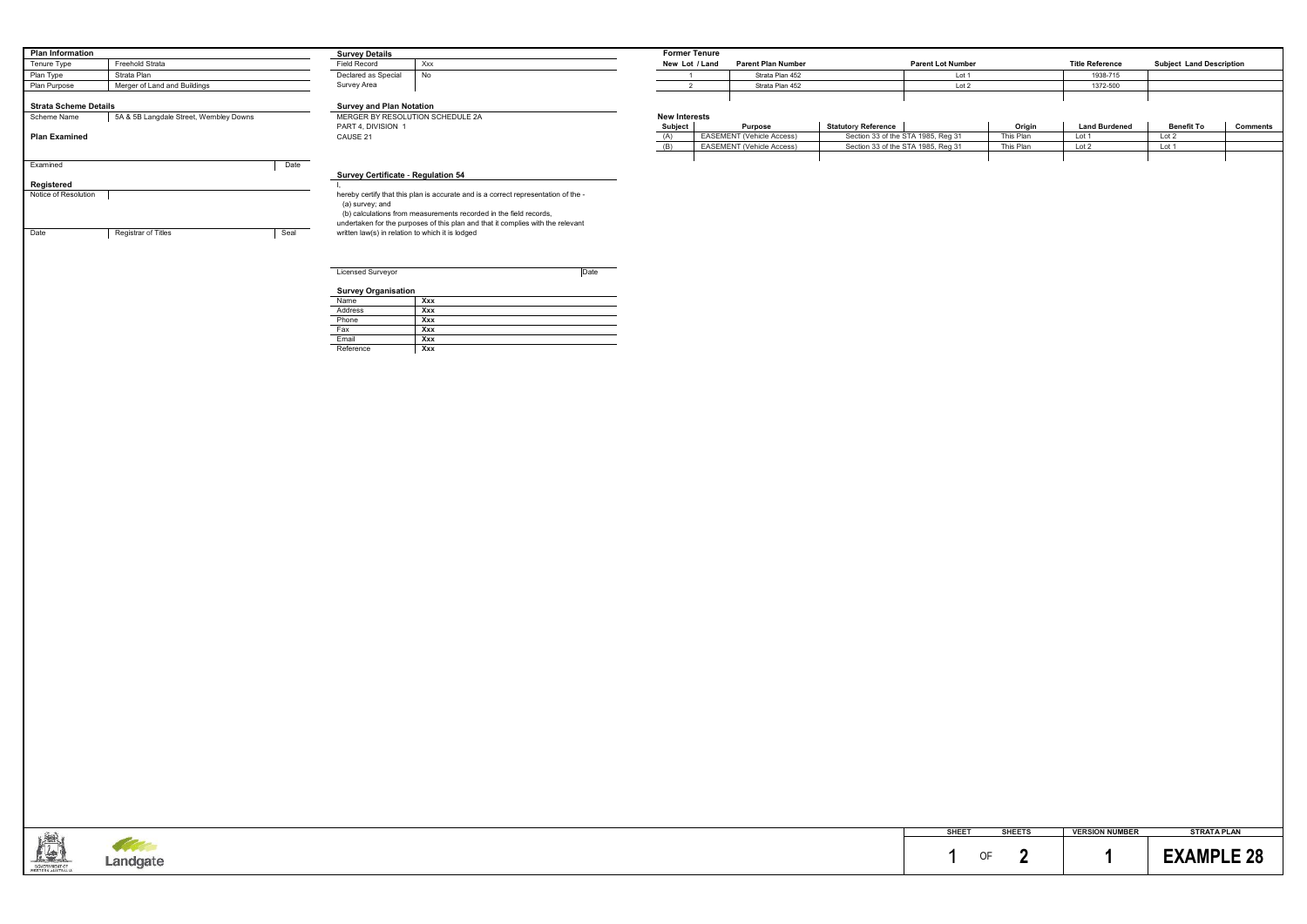#### **Survey Certificate** - **Regulation 54**

| PART 4, DIVISION 1 | <b>Subject</b> | Purpose                          | <b>Statutory Reference</b>         | Origin    | <b>Land Burdened</b> | <b>Benefit To</b> | Comments |
|--------------------|----------------|----------------------------------|------------------------------------|-----------|----------------------|-------------------|----------|
| CAUSE 21           | (1)            | <b>EASEMENT (Vehicle Access)</b> | Section 33 of the STA 1985, Reg 31 | Thie Plan | Lot                  |                   |          |
|                    |                | EASEMENT (Vehicle Access)        | Section 33 of the STA 1985, Reg 31 | This Plan | Lot .                |                   |          |
|                    |                |                                  |                                    |           |                      |                   |          |



| Licensed Surveyor          |     | Date |
|----------------------------|-----|------|
| <b>Survey Organisation</b> |     |      |
| Name                       | Xxx |      |
| Address                    | Xxx |      |
| Phone                      | Xxx |      |
| Fax                        | Xxx |      |
| Email                      | Xxx |      |
| Reference                  | Xxx |      |

|    | <b>SHEETS</b> | <b>VERSION NUMBER</b> | <b>STRATA PLAN</b> |
|----|---------------|-----------------------|--------------------|
| ΛF |               |                       | <b>EXAMPLE 28</b>  |

| <b>Plan Information</b>                      |                                        |                     | <b>Survey Details</b>                            |                                                                                                                                                                                                                                            | <b>Former Tenure</b> |             |
|----------------------------------------------|----------------------------------------|---------------------|--------------------------------------------------|--------------------------------------------------------------------------------------------------------------------------------------------------------------------------------------------------------------------------------------------|----------------------|-------------|
| <b>Freehold Strata</b><br>Tenure Type        |                                        | <b>Field Record</b> | Xxx                                              | New Lot / Land                                                                                                                                                                                                                             |                      |             |
| Plan Type                                    | Strata Plan                            |                     | Declared as Special                              | No                                                                                                                                                                                                                                         |                      |             |
| Merger of Land and Buildings<br>Plan Purpose |                                        |                     | Survey Area                                      |                                                                                                                                                                                                                                            |                      |             |
| <b>Strata Scheme Details</b>                 |                                        |                     | <b>Survey and Plan Notation</b>                  |                                                                                                                                                                                                                                            |                      |             |
| Scheme Name                                  | 5A & 5B Langdale Street, Wembley Downs |                     | MERGER BY RESOLUTION SCHEDULE 2A                 |                                                                                                                                                                                                                                            | <b>New Interests</b> |             |
|                                              |                                        |                     | PART 4, DIVISION 1                               |                                                                                                                                                                                                                                            | Subject              |             |
| <b>Plan Examined</b>                         |                                        |                     | CAUSE 21                                         |                                                                                                                                                                                                                                            | (A)                  | EASE        |
|                                              |                                        |                     |                                                  |                                                                                                                                                                                                                                            | (B)                  | <b>EASE</b> |
| Examined                                     |                                        | Date                |                                                  |                                                                                                                                                                                                                                            |                      |             |
|                                              |                                        |                     | <b>Survey Certificate - Regulation 54</b>        |                                                                                                                                                                                                                                            |                      |             |
| Registered                                   |                                        |                     |                                                  |                                                                                                                                                                                                                                            |                      |             |
| Notice of Resolution                         |                                        |                     | (a) survey; and                                  | hereby certify that this plan is accurate and is a correct representation of the -<br>(b) calculations from measurements recorded in the field records,<br>undertaken for the purposes of this plan and that it complies with the relevant |                      |             |
| Date                                         | <b>Registrar of Titles</b>             | Seal                | written law(s) in relation to which it is lodged |                                                                                                                                                                                                                                            |                      |             |

| <b>Survey Details</b>              |     |
|------------------------------------|-----|
| <b>Field Record</b>                | Xxx |
| Declared as Special<br>Survey Area | No  |

| <b>Title Reference</b> | <b>Subject Land Description</b> |
|------------------------|---------------------------------|
| 1938-715               |                                 |
| 1372-500               |                                 |
|                        |                                 |
|                        |                                 |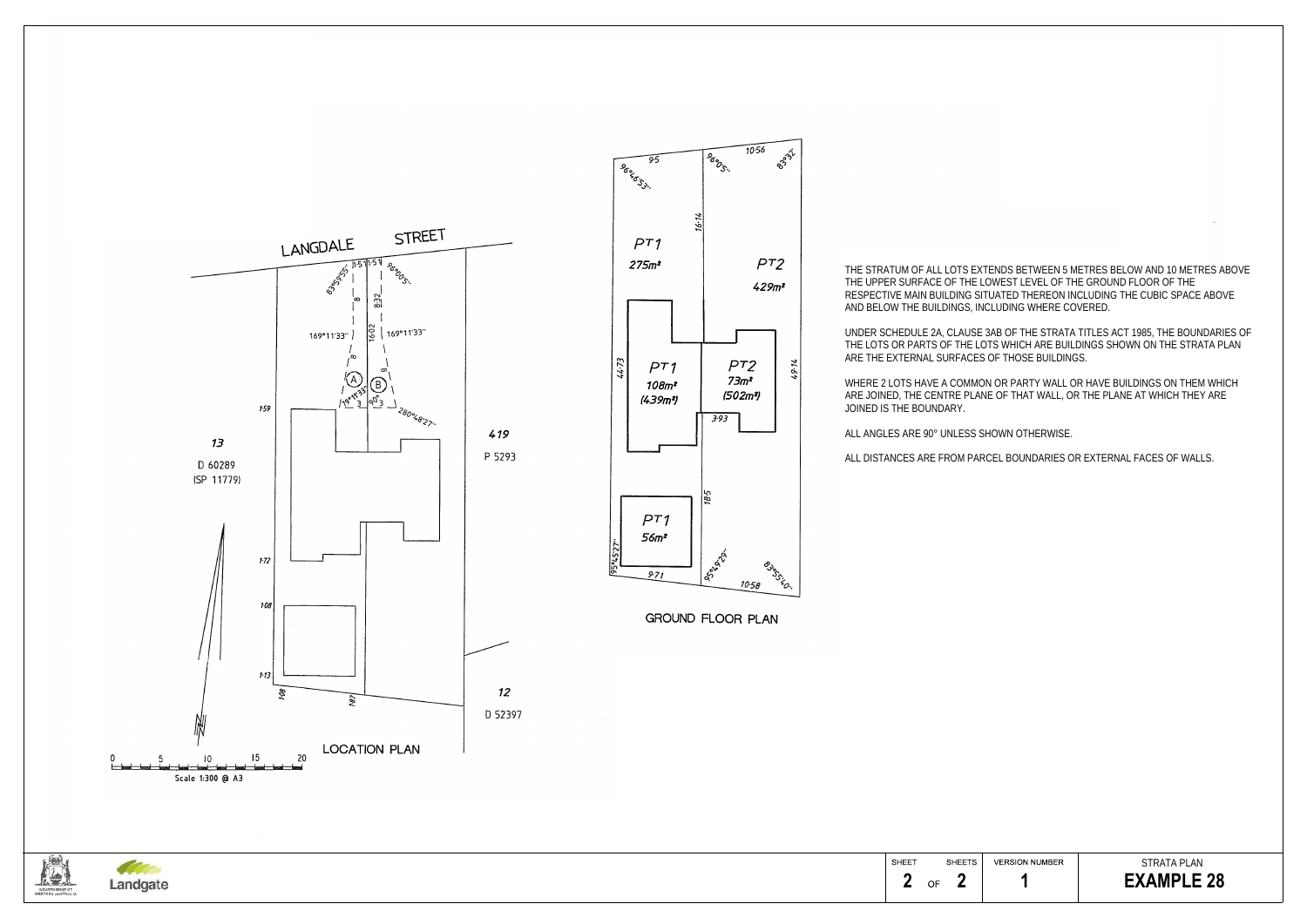STRATA PLAN **1 EXAMPLE 28** 

THE STRATUM OF ALL LOTS EXTENDS BETWEEN 5 METRES BELOW AND 10 METRES ABOVE THE UPPER SURFACE OF THE LOWEST LEVEL OF THE GROUND FLOOR OF THE RESPECTIVE MAIN BUILDING SITUATED THEREON INCLUDING THE CUBIC SPACE ABOVE AND BELOW THE BUILDINGS, INCLUDING WHERE COVERED.

UNDER SCHEDULE 2A, CLAUSE 3AB OF THE STRATA TITLES ACT 1985, THE BOUNDARIES OF THE LOTS OR PARTS OF THE LOTS WHICH ARE BUILDINGS SHOWN ON THE STRATA PLAN ARE THE EXTERNAL SURFACES OF THOSE BUILDINGS.

WHERE 2 LOTS HAVE A COMMON OR PARTY WALL OR HAVE BUILDINGS ON THEM WHICH ARE JOINED, THE CENTRE PLANE OF THAT WALL, OR THE PLANE AT WHICH THEY ARE

JOINED IS THE BOUNDARY.

ALL ANGLES ARE 90° UNLESS SHOWN OTHERWISE.

ALL DISTANCES ARE FROM PARCEL BOUNDARIES OR EXTERNAL FACES OF WALLS.





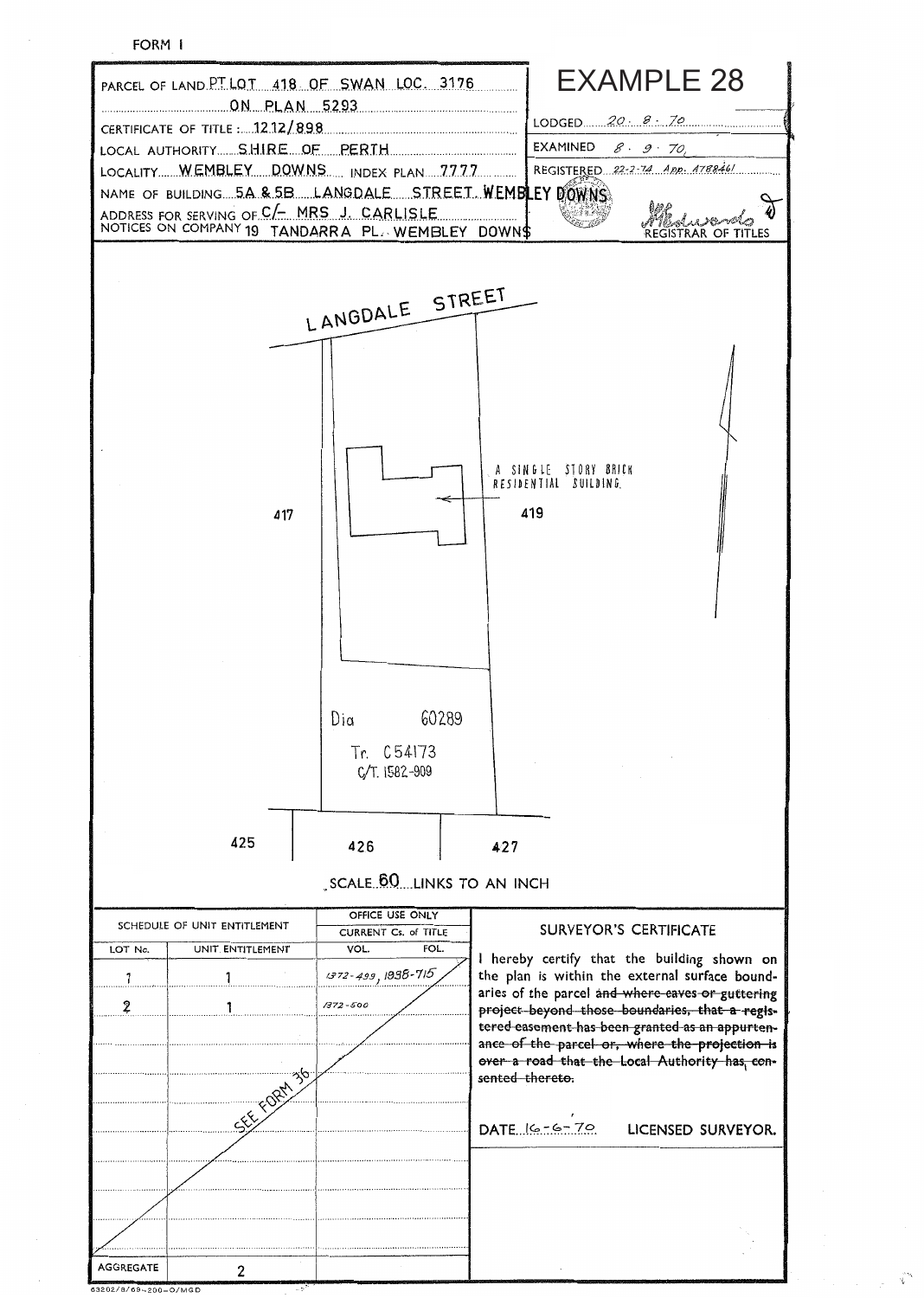



<sup>&</sup>lt;del>™™™™™™™™</del>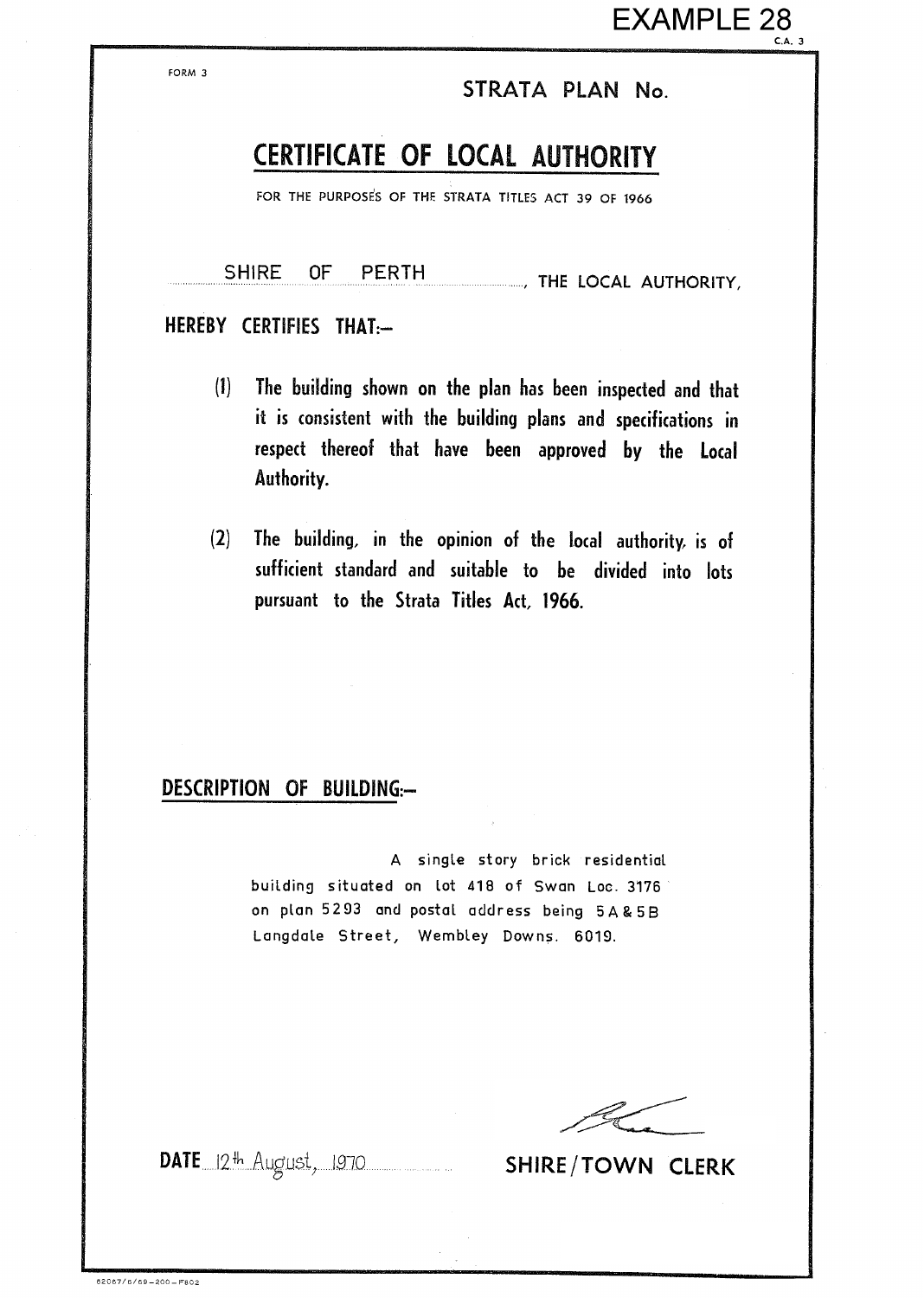## STRATA PLAN No.

# CERTIFICATE OF LOCAL AUTHORITY

FOR THE PURPOSES OF THE STRATA TITLES ACT 39 OF 1966

**SHIRE** 0F **PERTH** THE LOCAL AUTHORITY.

### HEREBY CERTIFIES THAT:-

FORM 3

- The building shown on the plan has been inspected and that  $(1)$ it is consistent with the building plans and specifications in respect thereof that have been approved by the Local Authority.
- The building, in the opinion of the local authority, is of  $(2)$ sufficient standard and suitable to be divided into lots pursuant to the Strata Titles Act. 1966.

### DESCRIPTION OF BUILDING:-

A single story brick residential building situated on lot 418 of Swan Loc. 3176 on plan 5293 and postal address being 5A&5B Langdale Street, Wembley Downs. 6019.

DATE 12th August, 1970 SHIRE/TOWN CLERK